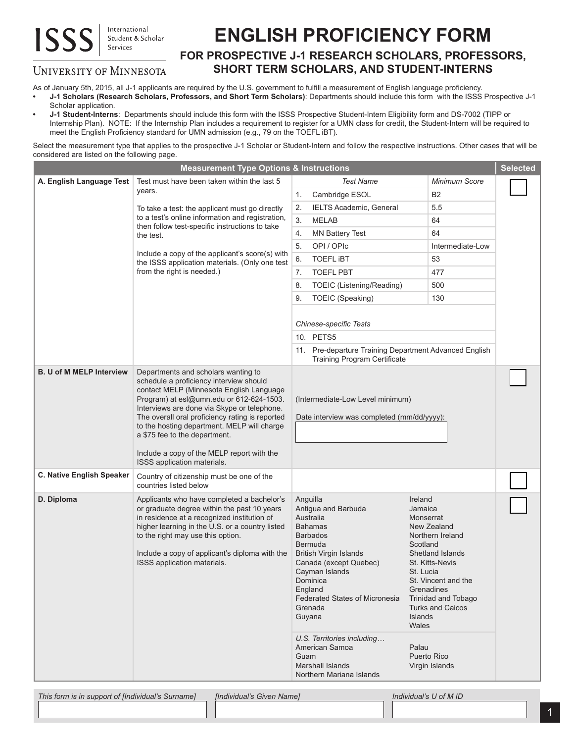## International **ISS** Student & Scholar Services

## **ENGLISH PROFICIENCY FORM**

## **FOR PROSPECTIVE J-1 RESEARCH SCHOLARS, PROFESSORS, SHORT TERM SCHOLARS, AND STUDENT-INTERNS**

## **UNIVERSITY OF MINNESOTA**

As of January 5th, 2015, all J-1 applicants are required by the U.S. government to fulfill a measurement of English language proficiency. **• J-1 Scholars (Research Scholars, Professors, and Short Term Scholars)**: Departments should include this form with the ISSS Prospective J-1 Scholar application.

**• J-1 Student-Interns**: Departments should include this form with the ISSS Prospective Student-Intern Eligibility form and DS-7002 (TIPP or Internship Plan). NOTE: If the Internship Plan includes a requirement to register for a UMN class for credit, the Student-Intern will be required to meet the English Proficiency standard for UMN admission (e.g., 79 on the TOEFL iBT).

Select the measurement type that applies to the prospective J-1 Scholar or Student-Intern and follow the respective instructions. Other cases that will be considered are listed on the following page.

| <b>Measurement Type Options &amp; Instructions</b> |                                                                                                                                                                                                                                                                                                                                                                                                                                       |                                                                                                                                                                                                                                                                                                          |                                                                                                                                                                                                     | <b>Selected</b> |
|----------------------------------------------------|---------------------------------------------------------------------------------------------------------------------------------------------------------------------------------------------------------------------------------------------------------------------------------------------------------------------------------------------------------------------------------------------------------------------------------------|----------------------------------------------------------------------------------------------------------------------------------------------------------------------------------------------------------------------------------------------------------------------------------------------------------|-----------------------------------------------------------------------------------------------------------------------------------------------------------------------------------------------------|-----------------|
| A. English Language Test                           | Test must have been taken within the last 5                                                                                                                                                                                                                                                                                                                                                                                           | <b>Test Name</b>                                                                                                                                                                                                                                                                                         | <b>Minimum Score</b>                                                                                                                                                                                |                 |
|                                                    | years.                                                                                                                                                                                                                                                                                                                                                                                                                                | Cambridge ESOL<br>1.                                                                                                                                                                                                                                                                                     | <b>B2</b>                                                                                                                                                                                           |                 |
|                                                    | To take a test: the applicant must go directly<br>to a test's online information and registration,<br>then follow test-specific instructions to take<br>the test.                                                                                                                                                                                                                                                                     | IELTS Academic, General<br>2.                                                                                                                                                                                                                                                                            | 5.5                                                                                                                                                                                                 |                 |
|                                                    |                                                                                                                                                                                                                                                                                                                                                                                                                                       | 3.<br><b>MELAB</b>                                                                                                                                                                                                                                                                                       | 64                                                                                                                                                                                                  |                 |
|                                                    |                                                                                                                                                                                                                                                                                                                                                                                                                                       | <b>MN Battery Test</b><br>4.                                                                                                                                                                                                                                                                             | 64                                                                                                                                                                                                  |                 |
|                                                    |                                                                                                                                                                                                                                                                                                                                                                                                                                       | OPI / OPIc<br>5.                                                                                                                                                                                                                                                                                         | Intermediate-Low                                                                                                                                                                                    |                 |
|                                                    | Include a copy of the applicant's score(s) with<br>the ISSS application materials. (Only one test<br>from the right is needed.)                                                                                                                                                                                                                                                                                                       | <b>TOEFL IBT</b><br>6.                                                                                                                                                                                                                                                                                   | 53                                                                                                                                                                                                  |                 |
|                                                    |                                                                                                                                                                                                                                                                                                                                                                                                                                       | <b>TOEFL PBT</b><br>7.                                                                                                                                                                                                                                                                                   | 477                                                                                                                                                                                                 |                 |
|                                                    |                                                                                                                                                                                                                                                                                                                                                                                                                                       | 8.<br>TOEIC (Listening/Reading)                                                                                                                                                                                                                                                                          | 500                                                                                                                                                                                                 |                 |
|                                                    |                                                                                                                                                                                                                                                                                                                                                                                                                                       | TOEIC (Speaking)<br>9.                                                                                                                                                                                                                                                                                   | 130                                                                                                                                                                                                 |                 |
|                                                    |                                                                                                                                                                                                                                                                                                                                                                                                                                       | <b>Chinese-specific Tests</b>                                                                                                                                                                                                                                                                            |                                                                                                                                                                                                     |                 |
|                                                    |                                                                                                                                                                                                                                                                                                                                                                                                                                       | 10. PETS5                                                                                                                                                                                                                                                                                                |                                                                                                                                                                                                     |                 |
|                                                    |                                                                                                                                                                                                                                                                                                                                                                                                                                       | 11. Pre-departure Training Department Advanced English<br><b>Training Program Certificate</b>                                                                                                                                                                                                            |                                                                                                                                                                                                     |                 |
| <b>B. U of M MELP Interview</b>                    | Departments and scholars wanting to<br>schedule a proficiency interview should<br>contact MELP (Minnesota English Language<br>Program) at esl@umn.edu or 612-624-1503.<br>Interviews are done via Skype or telephone.<br>The overall oral proficiency rating is reported<br>to the hosting department. MELP will charge<br>a \$75 fee to the department.<br>Include a copy of the MELP report with the<br>ISSS application materials. | (Intermediate-Low Level minimum)<br>Date interview was completed (mm/dd/yyyy):                                                                                                                                                                                                                           |                                                                                                                                                                                                     |                 |
| C. Native English Speaker                          | Country of citizenship must be one of the<br>countries listed below                                                                                                                                                                                                                                                                                                                                                                   |                                                                                                                                                                                                                                                                                                          |                                                                                                                                                                                                     |                 |
| D. Diploma                                         | Applicants who have completed a bachelor's<br>or graduate degree within the past 10 years<br>in residence at a recognized institution of<br>higher learning in the U.S. or a country listed<br>to the right may use this option.<br>Include a copy of applicant's diploma with the<br>ISSS application materials.                                                                                                                     | Anguilla<br>Ireland<br>Antigua and Barbuda<br>Jamaica<br>Australia<br><b>Bahamas</b><br><b>Barbados</b><br><b>Bermuda</b><br><b>British Virgin Islands</b><br>Canada (except Quebec)<br>Cayman Islands<br>Dominica<br>England<br>Federated States of Micronesia<br>Grenada<br>Islands<br>Guyana<br>Wales | Monserrat<br>New Zealand<br>Northern Ireland<br>Scotland<br>Shetland Islands<br>St. Kitts-Nevis<br>St. Lucia<br>St. Vincent and the<br>Grenadines<br>Trinidad and Tobago<br><b>Turks and Caicos</b> |                 |
|                                                    |                                                                                                                                                                                                                                                                                                                                                                                                                                       | U.S. Territories including<br>American Samoa<br>Palau<br>Guam<br><b>Marshall Islands</b><br>Northern Mariana Islands                                                                                                                                                                                     | Puerto Rico<br>Virgin Islands                                                                                                                                                                       |                 |

*This form is in support of [Individual's Surname] [Individual's Given Name] Individual's U of M ID*